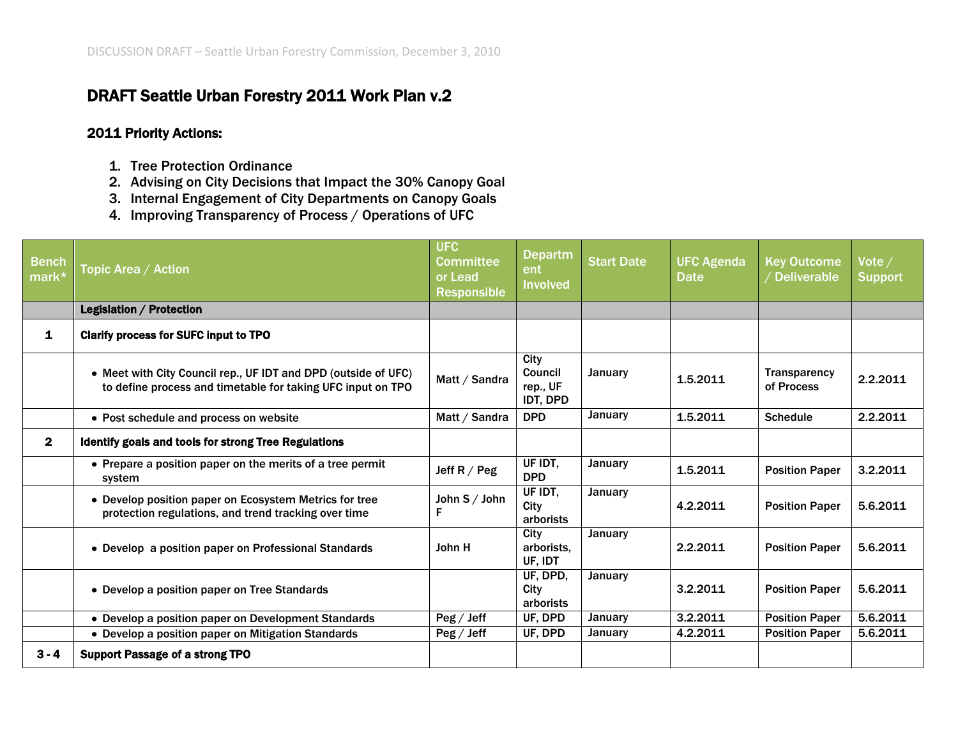## DRAFT Seattle Urban Forestry 2011 Work Plan v.2

## 2011 Priority Actions:

- 1. Tree Protection Ordinance
- 2. Advising on City Decisions that Impact the 30% Canopy Goal
- 3. Internal Engagement of City Departments on Canopy Goals
- 4. Improving Transparency of Process / Operations of UFC

| <b>Bench</b><br>mark* | Topic Area / Action                                                                                                           | <b>UFC</b><br><b>Committee</b><br>or Lead<br><b>Responsible</b> | <b>Departm</b><br>ent<br><b>Involved</b>       | <b>Start Date</b> | <b>UFC Agenda</b><br><b>Date</b> | <b>Key Outcome</b><br>/ Deliverable | Vote /<br><b>Support</b> |
|-----------------------|-------------------------------------------------------------------------------------------------------------------------------|-----------------------------------------------------------------|------------------------------------------------|-------------------|----------------------------------|-------------------------------------|--------------------------|
|                       | <b>Legislation / Protection</b>                                                                                               |                                                                 |                                                |                   |                                  |                                     |                          |
| $\mathbf{1}$          | <b>Clarify process for SUFC input to TPO</b>                                                                                  |                                                                 |                                                |                   |                                  |                                     |                          |
|                       | • Meet with City Council rep., UF IDT and DPD (outside of UFC)<br>to define process and timetable for taking UFC input on TPO | Matt / Sandra                                                   | City<br>Council<br>rep., UF<br><b>IDT, DPD</b> | <b>January</b>    | 1.5.2011                         | <b>Transparency</b><br>of Process   | 2.2.2011                 |
|                       | • Post schedule and process on website                                                                                        | Matt / Sandra                                                   | <b>DPD</b>                                     | January           | 1.5.2011                         | <b>Schedule</b>                     | 2.2.2011                 |
| $\mathbf{2}$          | <b>Identify goals and tools for strong Tree Regulations</b>                                                                   |                                                                 |                                                |                   |                                  |                                     |                          |
|                       | • Prepare a position paper on the merits of a tree permit<br>system                                                           | Jeff $R / Peg$                                                  | UF IDT,<br><b>DPD</b>                          | January           | 1.5.2011                         | <b>Position Paper</b>               | 3.2.2011                 |
|                       | • Develop position paper on Ecosystem Metrics for tree<br>protection regulations, and trend tracking over time                | John S / John<br>F                                              | UF IDT,<br>City<br>arborists                   | January           | 4.2.2011                         | <b>Position Paper</b>               | 5.6.2011                 |
|                       | • Develop a position paper on Professional Standards                                                                          | John H                                                          | City<br>arborists.<br>UF, IDT                  | January           | 2.2.2011                         | <b>Position Paper</b>               | 5.6.2011                 |
|                       | • Develop a position paper on Tree Standards                                                                                  |                                                                 | UF, DPD,<br>City<br>arborists                  | January           | 3.2.2011                         | <b>Position Paper</b>               | 5.6.2011                 |
|                       | • Develop a position paper on Development Standards                                                                           | $\text{Peg}/\text{Jeff}$                                        | UF, DPD                                        | January           | 3.2.2011                         | <b>Position Paper</b>               | 5.6.2011                 |
|                       | • Develop a position paper on Mitigation Standards                                                                            | $\text{Peg}/\text{Jeff}$                                        | UF, DPD                                        | January           | 4.2.2011                         | <b>Position Paper</b>               | 5.6.2011                 |
| $3 - 4$               | <b>Support Passage of a strong TPO</b>                                                                                        |                                                                 |                                                |                   |                                  |                                     |                          |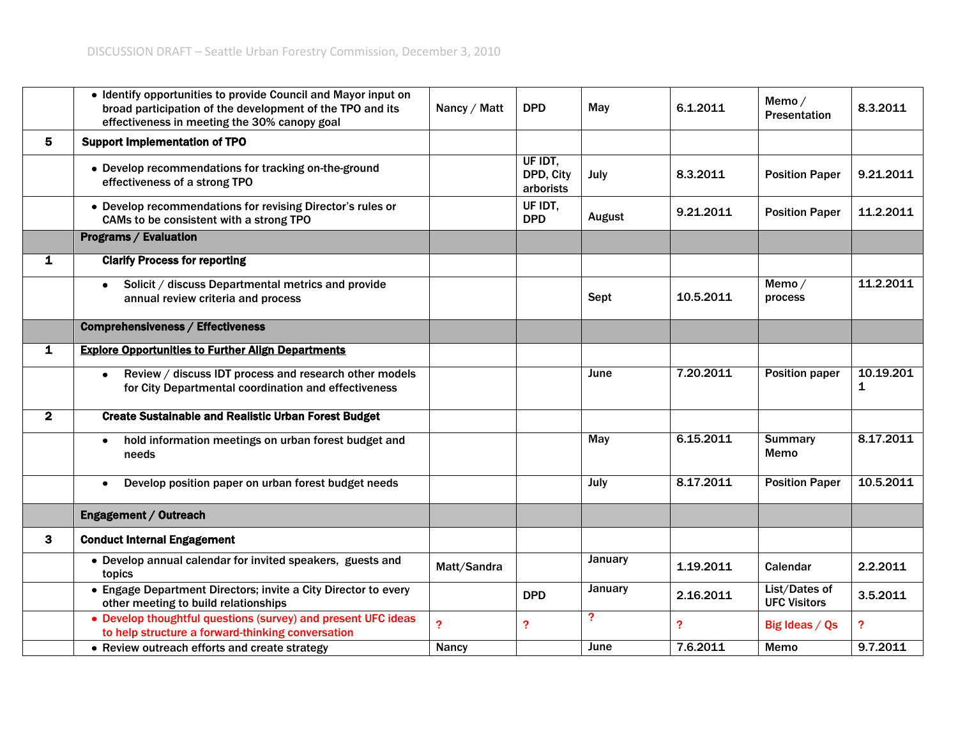|              | • Identify opportunities to provide Council and Mayor input on<br>broad participation of the development of the TPO and its<br>effectiveness in meeting the 30% canopy goal | Nancy / Matt   | <b>DPD</b>                        | May            | 6.1.2011       | Memo/<br><b>Presentation</b>         | 8.3.2011                  |
|--------------|-----------------------------------------------------------------------------------------------------------------------------------------------------------------------------|----------------|-----------------------------------|----------------|----------------|--------------------------------------|---------------------------|
| 5            | <b>Support Implementation of TPO</b>                                                                                                                                        |                |                                   |                |                |                                      |                           |
|              | • Develop recommendations for tracking on-the-ground<br>effectiveness of a strong TPO                                                                                       |                | UF IDT,<br>DPD, City<br>arborists | July           | 8.3.2011       | <b>Position Paper</b>                | 9.21.2011                 |
|              | • Develop recommendations for revising Director's rules or<br>CAMs to be consistent with a strong TPO                                                                       |                | UF IDT.<br><b>DPD</b>             | August         | 9.21.2011      | <b>Position Paper</b>                | 11.2.2011                 |
|              | <b>Programs / Evaluation</b>                                                                                                                                                |                |                                   |                |                |                                      |                           |
| $\mathbf{1}$ | <b>Clarify Process for reporting</b>                                                                                                                                        |                |                                   |                |                |                                      |                           |
|              | Solicit / discuss Departmental metrics and provide<br>$\bullet$<br>annual review criteria and process                                                                       |                |                                   | Sept           | 10.5.2011      | Memo/<br>process                     | 11.2.2011                 |
|              | <b>Comprehensiveness / Effectiveness</b>                                                                                                                                    |                |                                   |                |                |                                      |                           |
| 1            | <b>Explore Opportunities to Further Align Departments</b>                                                                                                                   |                |                                   |                |                |                                      |                           |
|              | Review / discuss IDT process and research other models<br>$\bullet$<br>for City Departmental coordination and effectiveness                                                 |                |                                   | June           | 7.20.2011      | <b>Position paper</b>                | 10.19.201<br>$\mathbf{1}$ |
| $\mathbf{2}$ | <b>Create Sustainable and Realistic Urban Forest Budget</b>                                                                                                                 |                |                                   |                |                |                                      |                           |
|              | hold information meetings on urban forest budget and<br>$\bullet$<br>needs                                                                                                  |                |                                   | May            | 6.15.2011      | <b>Summary</b><br>Memo               | 8.17.2011                 |
|              | Develop position paper on urban forest budget needs<br>$\bullet$                                                                                                            |                |                                   | July           | 8.17.2011      | <b>Position Paper</b>                | 10.5.2011                 |
|              | Engagement / Outreach                                                                                                                                                       |                |                                   |                |                |                                      |                           |
| 3            | <b>Conduct Internal Engagement</b>                                                                                                                                          |                |                                   |                |                |                                      |                           |
|              | • Develop annual calendar for invited speakers, guests and<br>topics                                                                                                        | Matt/Sandra    |                                   | January        | 1.19.2011      | Calendar                             | 2.2.2011                  |
|              | • Engage Department Directors; invite a City Director to every<br>other meeting to build relationships                                                                      |                | <b>DPD</b>                        | <b>January</b> | 2.16.2011      | List/Dates of<br><b>UFC Visitors</b> | 3.5.2011                  |
|              | • Develop thoughtful questions (survey) and present UFC ideas<br>to help structure a forward-thinking conversation                                                          | $\overline{?}$ | $\overline{\mathbf{?}}$           | ?              | $\overline{?}$ | Big Ideas / Qs                       | $\overline{\mathbf{?}}$   |
|              | • Review outreach efforts and create strategy                                                                                                                               | Nancy          |                                   | June           | 7.6.2011       | Memo                                 | 9.7.2011                  |